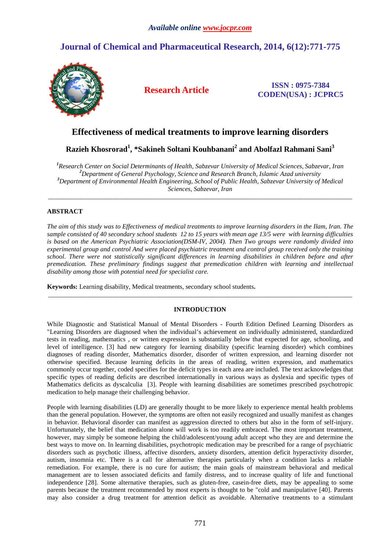# **Journal of Chemical and Pharmaceutical Research, 2014, 6(12):771-775**



**Research Article ISSN : 0975-7384 CODEN(USA) : JCPRC5**

## **Effectiveness of medical treatments to improve learning disorders**

**Razieh Khosrorad<sup>1</sup> , \*Sakineh Soltani Kouhbanani<sup>2</sup> and Abolfazl Rahmani Sani<sup>3</sup>** 

*Research Center on Social Determinants of Health, Sabzevar University of Medical Sciences, Sabzevar, Iran Department of General Psychology, Science and Research Branch, Islamic Azad university Department of Environmental Health Engineering, School of Public Health, Sabzevar University of Medical Sciences, Sabzevar, Iran* 

\_\_\_\_\_\_\_\_\_\_\_\_\_\_\_\_\_\_\_\_\_\_\_\_\_\_\_\_\_\_\_\_\_\_\_\_\_\_\_\_\_\_\_\_\_\_\_\_\_\_\_\_\_\_\_\_\_\_\_\_\_\_\_\_\_\_\_\_\_\_\_\_\_\_\_\_\_\_\_\_\_\_\_\_\_\_\_\_\_\_\_\_\_

## **ABSTRACT**

*The aim of this study was to Effectiveness of medical treatments to improve learning disorders in the Ilam, Iran. The sample consisted of 40 secondary school students 12 to 15 years with mean age 13/5 were with learning difficulties is based on the American Psychiatric Association(DSM-IV, 2004). Then Two groups were randomly divided into experimental group and control And were placed psychiatric treatment and control group received only the training school. There were not statistically significant differences in learning disabilities in children before and after premedication. These preliminary findings suggest that premedication children with learning and intellectual disability among those with potential need for specialist care.*

**Keywords:** Learning disability, Medical treatments, secondary school students**.**

## **INTRODUCTION**

\_\_\_\_\_\_\_\_\_\_\_\_\_\_\_\_\_\_\_\_\_\_\_\_\_\_\_\_\_\_\_\_\_\_\_\_\_\_\_\_\_\_\_\_\_\_\_\_\_\_\_\_\_\_\_\_\_\_\_\_\_\_\_\_\_\_\_\_\_\_\_\_\_\_\_\_\_\_\_\_\_\_\_\_\_\_\_\_\_\_\_\_\_

While Diagnostic and Statistical Manual of Mental Disorders - Fourth Edition Defined Learning Disorders as "Learning Disorders are diagnosed when the individual's achievement on individually administered, standardized tests in reading, mathematics , or written expression is substantially below that expected for age, schooling, and level of intelligence. [3] had new category for learning disability (specific learning disorder) which combines diagnoses of reading disorder, Mathematics disorder, disorder of written expression, and learning disorder not otherwise specified. Because learning deficits in the areas of reading, written expression, and mathematics commonly occur together, coded specifies for the deficit types in each area are included. The text acknowledges that specific types of reading deficits are described internationally in various ways as dyslexia and specific types of Mathematics deficits as dyscalculia [3]. People with learning disabilities are sometimes prescribed psychotropic medication to help manage their challenging behavior.

People with learning disabilities (LD) are generally thought to be more likely to experience mental health problems than the general population. However, the symptoms are often not easily recognized and usually manifest as changes in behavior. Behavioral disorder can manifest as aggression directed to others but also in the form of self-injury. Unfortunately, the belief that medication alone will work is too readily embraced. The most important treatment, however, may simply be someone helping the child/adolescent/young adult accept who they are and determine the best ways to move on. In learning disabilities, psychotropic medication may be prescribed for a range of psychiatric disorders such as psychotic illness, affective disorders, anxiety disorders, attention deficit hyperactivity disorder, autism, insomnia etc. There is a call for alternative therapies particularly when a condition lacks a reliable remediation. For example, there is no cure for autism; the main goals of mainstream behavioral and medical management are to lessen associated deficits and family distress, and to increase quality of life and functional independence [28]. Some alternative therapies, such as gluten-free, casein-free diets, may be appealing to some parents because the treatment recommended by most experts is thought to be "cold and manipulative [40]. Parents may also consider a drug treatment for attention deficit as avoidable. Alternative treatments to a stimulant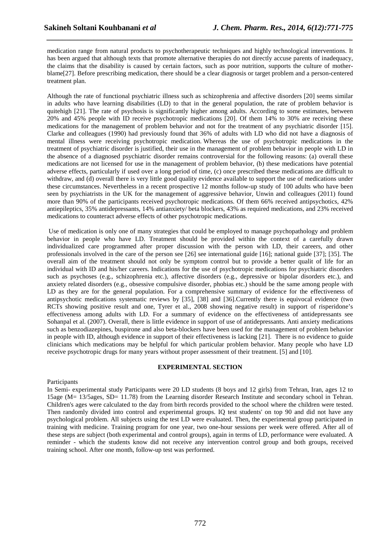medication range from natural products to psychotherapeutic techniques and highly technological interventions. It has been argued that although texts that promote alternative therapies do not directly accuse parents of inadequacy, the claims that the disability is caused by certain factors, such as poor nutrition, supports the culture of motherblame[27]. Before prescribing medication, there should be a clear diagnosis or target problem and a person-centered treatment plan.

*\_\_\_\_\_\_\_\_\_\_\_\_\_\_\_\_\_\_\_\_\_\_\_\_\_\_\_\_\_\_\_\_\_\_\_\_\_\_\_\_\_\_\_\_\_\_\_\_\_\_\_\_\_\_\_\_\_\_\_\_\_\_\_\_\_\_\_\_\_\_\_\_\_\_\_\_\_\_*

Although the rate of functional psychiatric illness such as schizophrenia and affective disorders [20] seems similar in adults who have learning disabilities (LD) to that in the general population, the rate of problem behavior is quitehigh [21]. The rate of psychosis is significantly higher among adults. According to some estimates, between 20% and 45% people with ID receive psychotropic medications [20]. Of them 14% to 30% are receiving these medications for the management of problem behavior and not for the treatment of any psychiatric disorder [15]. Clarke and colleagues (1990) had previously found that 36% of adults with LD who did not have a diagnosis of mental illness were receiving psychotropic medication. Whereas the use of psychotropic medications in the treatment of psychiatric disorder is justified, their use in the management of problem behavior in people with LD in the absence of a diagnosed psychiatric disorder remains controversial for the following reasons: (a) overall these medications are not licensed for use in the management of problem behavior, (b) these medications have potential adverse effects, particularly if used over a long period of time, (c) once prescribed these medications are difficult to withdraw, and (d) overall there is very little good quality evidence available to support the use of medications under these circumstances. Nevertheless in a recent prospective 12 months follow-up study of 100 adults who have been seen by psychiatrists in the UK for the management of aggressive behavior, Unwin and colleagues (2011) found more than 90% of the participants received psychotropic medications. Of them 66% received antipsychotics, 42% antiepileptics, 35% antidepressants, 14% antianxiety/ beta blockers, 43% as required medications, and 23% received medications to counteract adverse effects of other psychotropic medications.

 Use of medication is only one of many strategies that could be employed to manage psychopathology and problem behavior in people who have LD. Treatment should be provided within the context of a carefully drawn individualized care programmed after proper discussion with the person with LD, their careers, and other professionals involved in the care of the person see [26] see international guide [16]; national guide [37]; [35]. The overall aim of the treatment should not only be symptom control but to provide a better qualit of life for an individual with ID and his/her careers. Indications for the use of psychotropic medications for psychiatric disorders such as psychoses (e.g., schizophrenia etc.), affective disorders (e.g., depressive or bipolar disorders etc.), and anxiety related disorders (e.g., obsessive compulsive disorder, phobias etc.) should be the same among people with LD as they are for the general population. For a comprehensive summary of evidence for the effectiveness of antipsychotic medications systematic reviews by [35], [38] and [36].Currently there is equivocal evidence (two RCTs showing positive result and one, Tyrer et al., 2008 showing negative result) in support of risperidone's effectiveness among adults with LD. For a summary of evidence on the effectiveness of antidepressants see Sohanpal et al. (2007). Overall, there is little evidence in support of use of antidepressants. Anti anxiety medications such as benzodiazepines, buspirone and also beta-blockers have been used for the management of problem behavior in people with ID, although evidence in support of their effectiveness is lacking [21]. There is no evidence to guide clinicians which medications may be helpful for which particular problem behavior. Many people who have LD receive psychotropic drugs for many years without proper assessment of their treatment. [5] and [10].

#### **EXPERIMENTAL SECTION**

#### Participants

In Semi- experimental study Participants were 20 LD students (8 boys and 12 girls) from Tehran, Iran, ages 12 to 15age (M= 13/5ages, SD= 11.78) from the Learning disorder Research Institute and secondary school in Tehran. Children's ages were calculated to the day from birth records provided to the school where the children were tested. Then randomly divided into control and experimental groups. IQ test students' on top 90 and did not have any psychological problem. All subjects using the test LD were evaluated. Then, the experimental group participated in training with medicine. Training program for one year, two one-hour sessions per week were offered. After all of these steps are subject (both experimental and control groups), again in terms of LD, performance were evaluated. A reminder - which the students know did not receive any intervention control group and both groups, received training school. After one month, follow-up test was performed.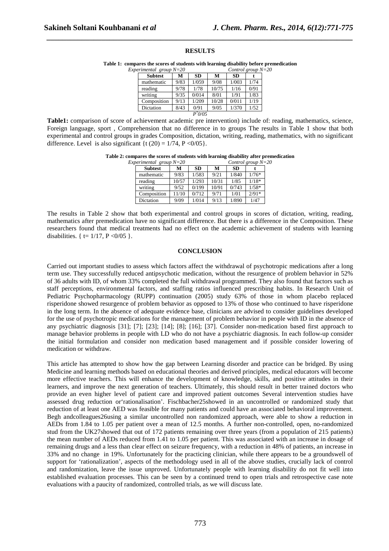#### **RESULTS**

*\_\_\_\_\_\_\_\_\_\_\_\_\_\_\_\_\_\_\_\_\_\_\_\_\_\_\_\_\_\_\_\_\_\_\_\_\_\_\_\_\_\_\_\_\_\_\_\_\_\_\_\_\_\_\_\_\_\_\_\_\_\_\_\_\_\_\_\_\_\_\_\_\_\_\_\_\_\_*

**Table 1: compares the scores of students with learning disability before premedication**

| $Experimental$ group $N=20$ | Control group $N=20$ |           |       |           |      |  |
|-----------------------------|----------------------|-----------|-------|-----------|------|--|
| <b>Subtest</b>              | м                    | <b>SD</b> | М     | <b>SD</b> |      |  |
| mathematic                  | 9/83                 | 1/059     | 9/08  | 1/003     | 1/74 |  |
| reading                     | 9/78                 | 1/78      | 10/75 | 1/16      | 0/91 |  |
| writing                     | 9/35                 | 0/014     | 8/01  | 1/91      | 1/83 |  |
| Composition                 | 9/13                 | 1/209     | 10/28 | 0/011     | 1/19 |  |
| Dictation                   | 8/43                 | 0/91      | 9/05  | 1/370     | 1/52 |  |
|                             |                      | $P^*0/05$ |       |           |      |  |

**Table1:** comparison of score of achievement academic pre intervention) include of: reading, mathematics, science, Foreign language, sport , Comprehension that no difference in to groups The results in Table 1 show that both experimental and control groups in grades Composition, dictation, writing, reading, mathematics, with no significant difference. Level is also significant {t  $(20) = 1/74$ ,  $P < 0/05$  }.

**Table 2: compares the scores of students with learning disability after premedication** 

| Experimental group $N=20$<br>Control group $N=20$ |                |       |           |       |           |         |  |
|---------------------------------------------------|----------------|-------|-----------|-------|-----------|---------|--|
|                                                   | <b>Subtest</b> | м     | <b>SD</b> | M     | <b>SD</b> |         |  |
|                                                   | mathematic     | 9/83  | 1/583     | 9/21  | 1/840     | $1/76*$ |  |
|                                                   | reading        | 10/57 | 1/293     | 10/31 | 1/85      | $1/18*$ |  |
|                                                   | writing        | 9/52  | 0/199     | 10/91 | 0/743     | $1/58*$ |  |
|                                                   | Composition    | 11/10 | 0/712     | 9/71  | 1/01      | $2/91*$ |  |
|                                                   | Dictation      | 9/09  | 1/014     | 9/13  | 1/890     | 1/47    |  |

The results in Table 2 show that both experimental and control groups in scores of dictation, writing, reading, mathematics after premedication have no significant difference. But there is a difference in the Composition. These researchers found that medical treatments had no effect on the academic achievement of students with learning disabilities.  $\{t = 1/17, P < 0/05 \}$ .

#### **CONCLUSION**

Carried out important studies to assess which factors affect the withdrawal of psychotropic medications after a long term use. They successfully reduced antipsychotic medication, without the resurgence of problem behavior in 52% of 36 adults with ID, of whom 33% completed the full withdrawal programmed. They also found that factors such as staff perceptions, environmental factors, and staffing ratios influenced prescribing habits. In Research Unit of Pediatric Psychopharmacology (RUPP) continuation (2005) study 63% of those in whom placebo replaced risperidone showed resurgence of problem behavior as opposed to 13% of those who continued to have risperidone in the long term. In the absence of adequate evidence base, clinicians are advised to consider guidelines developed for the use of psychotropic medications for the management of problem behavior in people with ID in the absence of any psychiatric diagnosis [31]; [7]; [23]; [14]; [8]; [16]; [37]. Consider non-medication based first approach to manage behavior problems in people with LD who do not have a psychiatric diagnosis. In each follow-up consider the initial formulation and consider non medication based management and if possible consider lowering of medication or withdraw.

This article has attempted to show how the gap between Learning disorder and practice can be bridged. By using Medicine and learning methods based on educational theories and derived principles, medical educators will become more effective teachers. This will enhance the development of knowledge, skills, and positive attitudes in their learners, and improve the next generation of teachers. Ultimately, this should result in better trained doctors who provide an even higher level of patient care and improved patient outcomes Several intervention studies have assessed drug reduction or'rationalisation'. Fischbacher25showed in an uncontrolled or randomized study that reduction of at least one AED was feasible for many patients and could have an associated behavioral improvement. Begh andcolleagues26using a similar uncontrolled non randomized approach, were able to show a reduction in AEDs from 1.84 to 1.05 per patient over a mean of 12.5 months. A further non-controlled, open, no-randomized stud from the UK27showed that out of 172 patients remaining over three years (from a population of 215 patients) the mean number of AEDs reduced from 1.41 to 1.05 per patient. This was associated with an increase in dosage of remaining drugs and a less than clear effect on seizure frequency, with a reduction in 48% of patients, an increase in 33% and no change in 19%. Unfortunately for the practicing clinician, while there appears to be a groundswell of support for 'rationalization', aspects of the methodology used in all of the above studies, crucially lack of control and randomization, leave the issue unproved. Unfortunately people with learning disability do not fit well into established evaluation processes. This can be seen by a continued trend to open trials and retrospective case note evaluations with a paucity of randomized, controlled trials, as we will discuss late.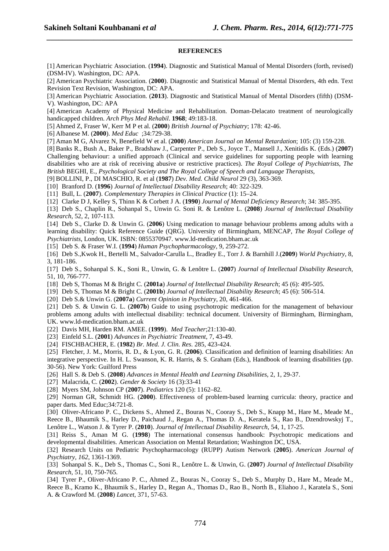#### **REFERENCES**

*\_\_\_\_\_\_\_\_\_\_\_\_\_\_\_\_\_\_\_\_\_\_\_\_\_\_\_\_\_\_\_\_\_\_\_\_\_\_\_\_\_\_\_\_\_\_\_\_\_\_\_\_\_\_\_\_\_\_\_\_\_\_\_\_\_\_\_\_\_\_\_\_\_\_\_\_\_\_*

[1] American Psychiatric Association. (**1994**). Diagnostic and Statistical Manual of Mental Disorders (forth, revised) (DSM-IV). Washington, DC: APA.

[2] American Psychiatric Association. (**2000**). Diagnostic and Statistical Manual of Mental Disorders, 4th edn. Text Revision Text Revision, Washington, DC: APA.

[3] American Psychiatric Association. (**2013**). Diagnostic and Statistical Manual of Mental Disorders (fifth) (DSM-V). Washington, DC: APA

[4] American Academy of Physical Medicine and Rehabilitation. Doman-Delacato treatment of neurologically handicapped children. *Arch Phys Med Rehabil*. **1968**; 49:183-18.

[5] Ahmed Z, Fraser W, Kerr M P et al. (**2000**) *British Journal of Psychiatry*; 178: 42-46.

[6] Albanese M. (**2000**). *Med Educ* ;34:729-38.

[7] Aman M G, Alvarez N, Benefield W et al. (**2000**) *American Journal on Mental Retardation*; 105: (3) 159-228.

[8] Banks R., Bush A., Baker P., Bradshaw J., Carpenter P., Deb S., Joyce T., Mansell J., Xenitidis K. (Eds.) (**2007**) Challenging behaviour: a unified approach (Clinical and service guidelines for supporting people with learning disabilities who are at risk of receiving abusive or restrictive practices). *The Royal College of Psychiatrists*, *The British* BEGHI, E., *Psychological Society and The Royal College of Speech and Language Therapists*,

[9] BOLLINI, P., DI MASCHIO, R. et al (**1987**) *Dev. Med. Child Neurol* 29 (3), 363-369.

[10] Branford D. (**1996**) *Journal of Intellectual Disability Research*; 40: 322-329.

[11] Bull, L. (**2007**). *Complementary Therapies in Clinical Practice* (1): 15–24.

[12] Clarke D J, Kelley S, Thinn K & Corbett J A. (**1990**) *Journal of Mental Deficiency Research*; 34: 385-395.

[13] Deb S., Chaplin R., Sohanpal S., Unwin G. Soni R. & Lenôtre L. (**2008**) *Journal of Intellectual Disability Research*, 52, 2, 107-113.

[14] Deb S., Clarke D. & Unwin G. (**2006**) Using medication to manage behaviour problems among adults with a learning disability: Quick Reference Guide (QRG). University of Birmingham, MENCAP, *The Royal College of Psychiatrists*, London, UK. ISBN: 0855370947. www.ld-medication.bham.ac.uk

[15] Deb S. & Fraser W.I. (**1994**) *Human Psychopharmacology*, 9, 259-272.

[16] Deb S.,Kwok H., Bertelli M., Salvador-Carulla L., Bradley E., Torr J. & Barnhill J.(**2009**) *World Psychiatry,* 8, 3, 181-186.

[17] Deb S., Sohanpal S. K., Soni R., Unwin, G. & Lenôtre L. (**2007**) *Journal of Intellectual Disability Research*, 51, 10, 766-777.

[18] Deb S, Thomas M & Bright C. (**2001a**) *Journal of Intellectual Disability Research*; 45 (6): 495-505.

[19] Deb S, Thomas M & Bright C. (**2001b**) *Journal of Intellectual Disability Research*; 45 (6): 506-514.

[20] Deb S.& Unwin G. (**2007a**) *Current Opinion in Psychiatry*, 20, 461-466.

[21] Deb S. & Unwin G. L. (**2007b**) Guide to using psychotropic medication for the management of behaviour problems among adults with intellectual disability: technical document. University of Birmingham, Birmingham, UK. www.ld-medication.bham.ac.uk

[22] Davis MH, Harden RM. AMEE. (**1999**). *Med Teacher*;21:130-40.

[23] Einfeld S.L. (**2001**) *Advances in Psychiatric Treatment*, 7, 43-49.

[24] FISCHBACHER, E. (**1982**) *Br. Med. J. Clin. Res*. 285, 423-424.

[25] Fletcher, J. M., Morris, R. D., & Lyon, G. R. (**2006**). Classification and definition of learning disabilities: An integrative perspective. In H. L. Swanson, K. R. Harris, & S. Graham (Eds.), Handbook of learning disabilities (pp. 30-56). New York: Guilford Press

[26] Hall S. & Deb S. (**2008**) *Advances in Mental Health and Learning Disabilities*, 2, 1, 29-37.

[27] Malacrida, C. (**2002**). *Gender & Society* 16 (3):33-41

[28] Myers SM, Johnson CP (**2007**). *Pediatrics* 120 (5): 1162–82.

[29] Norman GR, Schmidt HG. (**2000**). Effectiveness of problem-based learning curricula: theory, practice and paper darts. Med Educ;34:721-8.

[30] Oliver-Africano P. C., Dickens S., Ahmed Z., Bouras N., Cooray S., Deb S., Knapp M., Hare M., Meade M., Reece B., Bhaumik S., Harley D., Paichaud J., Regan A., Thomas D. A., Keratela S., Rao B., Dzendrowskyj T., Lenôtre L., Watson J. & Tyrer P. (**2010**). *Journal of Intellectual Disability Research*, 54, 1, 17-25.

[31] Reiss S., Aman M G. (**1998**) The international consensus handbook: Psychotropic medications and developmental disabilities. American Association on Mental Retardation; Washington DC, USA.

[32] Research Units on Pediatric Psychopharmacology (RUPP) Autism Network (**2005**). *American Journal of Psychiatry, 162*, 1361-1369.

[33] Sohanpal S. K., Deb S., Thomas C., Soni R., Lenôtre L. & Unwin, G. (**2007**) *Journal of Intellectual Disability Research*, 51, 10, 750-765.

[34] Tyrer P., Oliver-Africano P. C., Ahmed Z., Bouras N., Cooray S., Deb S., Murphy D., Hare M., Meade M., Reece B., Kramo K., Bhaumik S., Harley D., Regan A., Thomas D., Rao B., North B., Eliahoo J., Karatela S., Soni A. & Crawford M. (**2008**) *Lancet*, 371, 57-63.